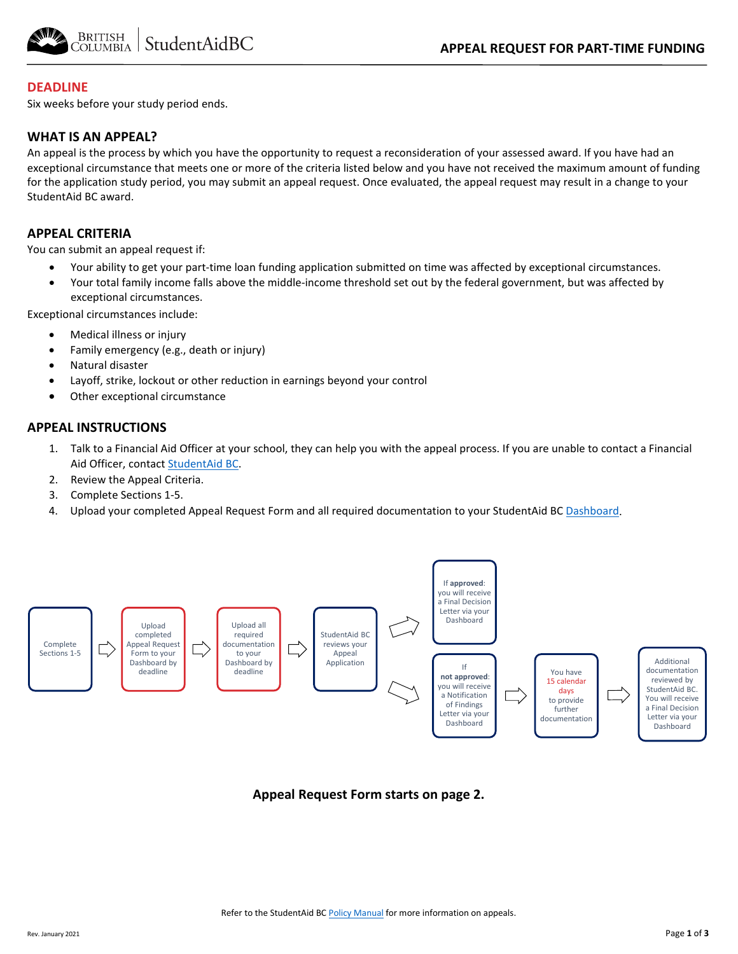

### **DEADLINE**

Six weeks before your study period ends.

#### **WHAT IS AN APPEAL?**

An appeal is the process by which you have the opportunity to request a reconsideration of your assessed award. If you have had an exceptional circumstance that meets one or more of the criteria listed below and you have not received the maximum amount of funding for the application study period, you may submit an appeal request. Once evaluated, the appeal request may result in a change to your StudentAid BC award.

## **APPEAL CRITERIA**

You can submit an appeal request if:

- Your ability to get your part-time loan funding application submitted on time was affected by exceptional circumstances.
- Your total family income falls above the middle-income threshold set out by the federal government, but was affected by exceptional circumstances.

Exceptional circumstances include:

- Medical illness or injury
- Family emergency (e.g., death or injury)
- Natural disaster
- Layoff, strike, lockout or other reduction in earnings beyond your control
- Other exceptional circumstance

## **APPEAL INSTRUCTIONS**

- 1. Talk to a Financial Aid Officer at your school, they can help you with the appeal process. If you are unable to contact a Financial Aid Officer, contac[t StudentAid BC.](https://studentaidbc.ca/contact-information)
- 2. Review the Appeal Criteria.
- 3. Complete Sections 1-5.
- 4. Upload your completed Appeal Request Form and all required documentation to your StudentAid BC [Dashboard.](https://studentaidbc.ca/dashboard)



## **Appeal Request Form starts on page 2.**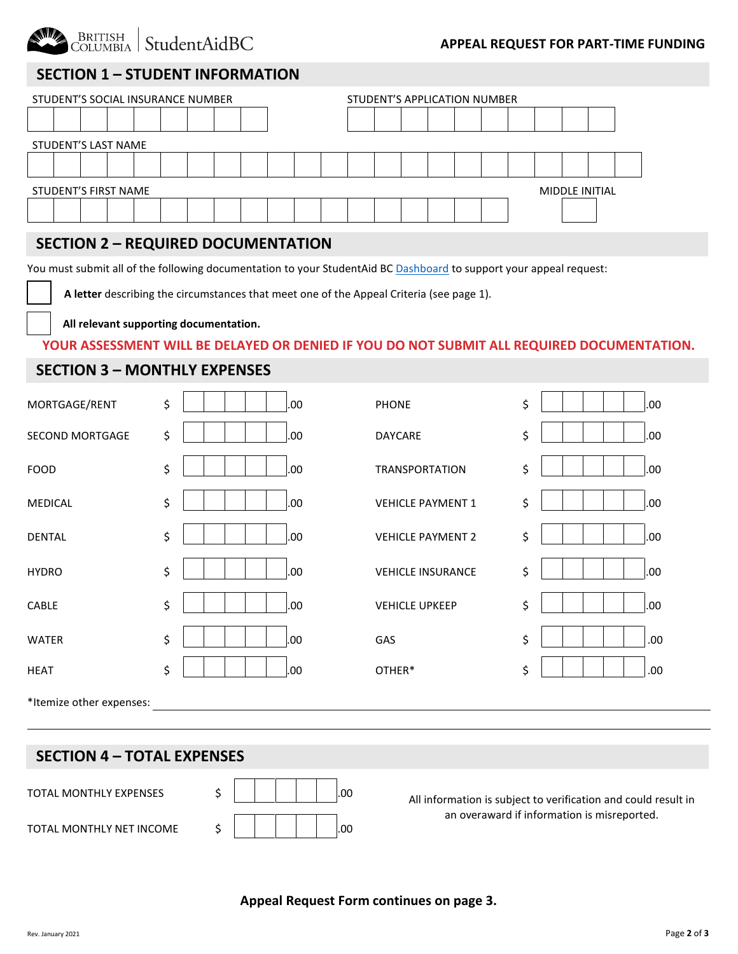

## **SECTION 1 – STUDENT INFORMATION**

| STUDENT'S SOCIAL INSURANCE NUMBER             | STUDENT'S APPLICATION NUMBER |  |  |  |
|-----------------------------------------------|------------------------------|--|--|--|
|                                               |                              |  |  |  |
| STUDENT'S LAST NAME                           |                              |  |  |  |
|                                               |                              |  |  |  |
| STUDENT'S FIRST NAME<br><b>MIDDLE INITIAL</b> |                              |  |  |  |
|                                               |                              |  |  |  |

## **SECTION 2 – REQUIRED DOCUMENTATION**

You must submit all of the following documentation to your StudentAid BC [Dashboard](https://studentaidbc.ca/dashboard) to support your appeal request:

 **A letter** describing the circumstances that meet one of the Appeal Criteria (see page 1).

 **All relevant supporting documentation.**

#### **YOUR ASSESSMENT WILL BE DELAYED OR DENIED IF YOU DO NOT SUBMIT ALL REQUIRED DOCUMENTATION.**

## **SECTION 3 – MONTHLY EXPENSES**

| MORTGAGE/RENT            | \$<br>.00 | <b>PHONE</b>             | \$<br>.00 |
|--------------------------|-----------|--------------------------|-----------|
| <b>SECOND MORTGAGE</b>   | \$<br>.00 | DAYCARE                  | \$<br>.00 |
| <b>FOOD</b>              | \$<br>.00 | <b>TRANSPORTATION</b>    | \$<br>.00 |
| MEDICAL                  | \$<br>.00 | <b>VEHICLE PAYMENT 1</b> | \$<br>.00 |
| <b>DENTAL</b>            | \$<br>.00 | <b>VEHICLE PAYMENT 2</b> | \$<br>.00 |
| <b>HYDRO</b>             | \$<br>.00 | <b>VEHICLE INSURANCE</b> | \$<br>.00 |
| CABLE                    | \$<br>.00 | <b>VEHICLE UPKEEP</b>    | \$<br>.00 |
| <b>WATER</b>             | \$<br>.00 | GAS                      | \$<br>.00 |
| <b>HEAT</b>              | \$<br>.00 | OTHER*                   | \$<br>.00 |
| *Itemize other expenses: |           |                          |           |

## **SECTION 4 – TOTAL EXPENSES**



All information is subject to verification and could result in an overaward if information is misreported.

**Appeal Request Form continues on page 3.**